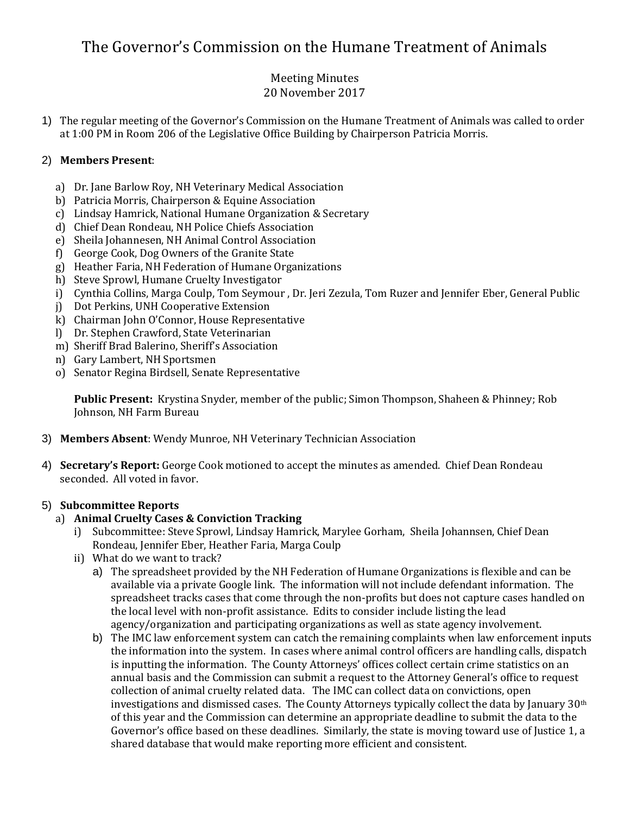# The Governor's Commission on the Humane Treatment of Animals

#### Meeting Minutes 20 November 2017

1) The regular meeting of the Governor's Commission on the Humane Treatment of Animals was called to order at 1:00 PM in Room 206 of the Legislative Office Building by Chairperson Patricia Morris.

# 2) **Members Present**:

- a) Dr. Jane Barlow Roy, NH Veterinary Medical Association
- b) Patricia Morris, Chairperson & Equine Association
- c) Lindsay Hamrick, National Humane Organization & Secretary
- d) Chief Dean Rondeau, NH Police Chiefs Association
- e) Sheila Johannesen, NH Animal Control Association
- f) George Cook, Dog Owners of the Granite State
- g) Heather Faria, NH Federation of Humane Organizations
- h) Steve Sprowl, Humane Cruelty Investigator
- i) Cynthia Collins, Marga Coulp, Tom Seymour , Dr. Jeri Zezula, Tom Ruzer and Jennifer Eber, General Public
- j) Dot Perkins, UNH Cooperative Extension
- k) Chairman John O'Connor, House Representative
- l) Dr. Stephen Crawford, State Veterinarian
- m) Sheriff Brad Balerino, Sheriff's Association
- n) Gary Lambert, NH Sportsmen
- o) Senator Regina Birdsell, Senate Representative

**Public Present:** Krystina Snyder, member of the public; Simon Thompson, Shaheen & Phinney; Rob Johnson, NH Farm Bureau

- 3) **Members Absent**: Wendy Munroe, NH Veterinary Technician Association
- 4) **Secretary's Report:** George Cook motioned to accept the minutes as amended. Chief Dean Rondeau seconded. All voted in favor.

# 5) **Subcommittee Reports**

#### a) **Animal Cruelty Cases & Conviction Tracking**

- i) Subcommittee: Steve Sprowl, Lindsay Hamrick, Marylee Gorham, Sheila Johannsen, Chief Dean Rondeau, Jennifer Eber, Heather Faria, Marga Coulp
- ii) What do we want to track?
	- a) The spreadsheet provided by the NH Federation of Humane Organizations is flexible and can be available via a private Google link. The information will not include defendant information. The spreadsheet tracks cases that come through the non-profits but does not capture cases handled on the local level with non-profit assistance. Edits to consider include listing the lead agency/organization and participating organizations as well as state agency involvement.
	- b) The IMC law enforcement system can catch the remaining complaints when law enforcement inputs the information into the system. In cases where animal control officers are handling calls, dispatch is inputting the information. The County Attorneys' offices collect certain crime statistics on an annual basis and the Commission can submit a request to the Attorney General's office to request collection of animal cruelty related data. The IMC can collect data on convictions, open investigations and dismissed cases. The County Attorneys typically collect the data by January  $30<sup>th</sup>$ of this year and the Commission can determine an appropriate deadline to submit the data to the Governor's office based on these deadlines. Similarly, the state is moving toward use of Justice 1, a shared database that would make reporting more efficient and consistent.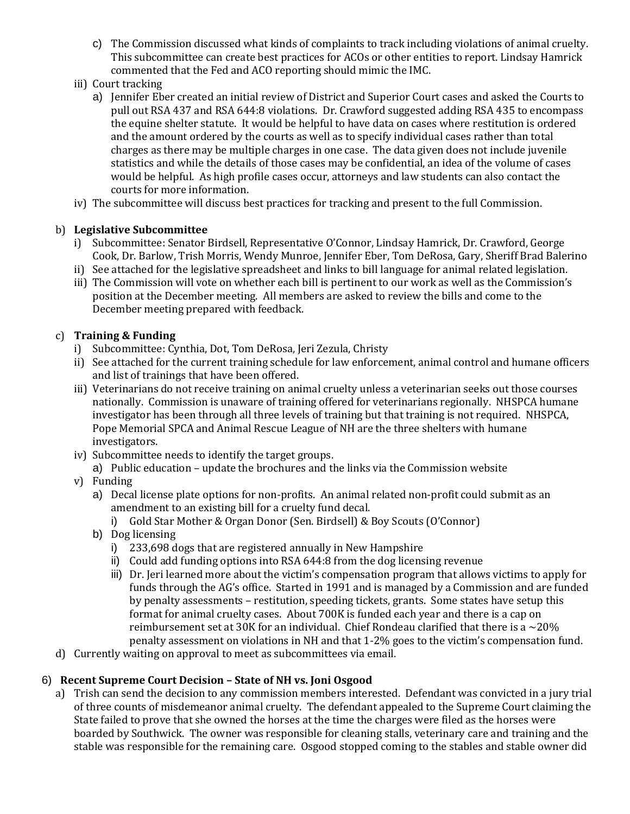- c) The Commission discussed what kinds of complaints to track including violations of animal cruelty. This subcommittee can create best practices for ACOs or other entities to report. Lindsay Hamrick commented that the Fed and ACO reporting should mimic the IMC.
- iii) Court tracking
	- a) Jennifer Eber created an initial review of District and Superior Court cases and asked the Courts to pull out RSA 437 and RSA 644:8 violations. Dr. Crawford suggested adding RSA 435 to encompass the equine shelter statute. It would be helpful to have data on cases where restitution is ordered and the amount ordered by the courts as well as to specify individual cases rather than total charges as there may be multiple charges in one case. The data given does not include juvenile statistics and while the details of those cases may be confidential, an idea of the volume of cases would be helpful. As high profile cases occur, attorneys and law students can also contact the courts for more information.
- iv) The subcommittee will discuss best practices for tracking and present to the full Commission.

#### b) **Legislative Subcommittee**

- i) Subcommittee: Senator Birdsell, Representative O'Connor, Lindsay Hamrick, Dr. Crawford, George Cook, Dr. Barlow, Trish Morris, Wendy Munroe, Jennifer Eber, Tom DeRosa, Gary, Sheriff Brad Balerino
- ii) See attached for the legislative spreadsheet and links to bill language for animal related legislation.
- iii) The Commission will vote on whether each bill is pertinent to our work as well as the Commission's position at the December meeting. All members are asked to review the bills and come to the December meeting prepared with feedback.

#### c) **Training & Funding**

- i) Subcommittee: Cynthia, Dot, Tom DeRosa, Jeri Zezula, Christy
- ii) See attached for the current training schedule for law enforcement, animal control and humane officers and list of trainings that have been offered.
- iii) Veterinarians do not receive training on animal cruelty unless a veterinarian seeks out those courses nationally. Commission is unaware of training offered for veterinarians regionally. NHSPCA humane investigator has been through all three levels of training but that training is not required. NHSPCA, Pope Memorial SPCA and Animal Rescue League of NH are the three shelters with humane investigators.
- iv) Subcommittee needs to identify the target groups.
	- a) Public education update the brochures and the links via the Commission website
- v) Funding
	- a) Decal license plate options for non-profits. An animal related non-profit could submit as an amendment to an existing bill for a cruelty fund decal.
		- i) Gold Star Mother & Organ Donor (Sen. Birdsell) & Boy Scouts (O'Connor)
	- b) Dog licensing
		- i) 233,698 dogs that are registered annually in New Hampshire
		- ii) Could add funding options into RSA 644:8 from the dog licensing revenue
		- iii) Dr. Jeri learned more about the victim's compensation program that allows victims to apply for funds through the AG's office. Started in 1991 and is managed by a Commission and are funded by penalty assessments – restitution, speeding tickets, grants. Some states have setup this format for animal cruelty cases. About 700K is funded each year and there is a cap on reimbursement set at 30K for an individual. Chief Rondeau clarified that there is a  $\sim$ 20% penalty assessment on violations in NH and that 1-2% goes to the victim's compensation fund.
- d) Currently waiting on approval to meet as subcommittees via email.

#### 6) **Recent Supreme Court Decision – State of NH vs. Joni Osgood**

a) Trish can send the decision to any commission members interested. Defendant was convicted in a jury trial of three counts of misdemeanor animal cruelty. The defendant appealed to the Supreme Court claiming the State failed to prove that she owned the horses at the time the charges were filed as the horses were boarded by Southwick. The owner was responsible for cleaning stalls, veterinary care and training and the stable was responsible for the remaining care. Osgood stopped coming to the stables and stable owner did